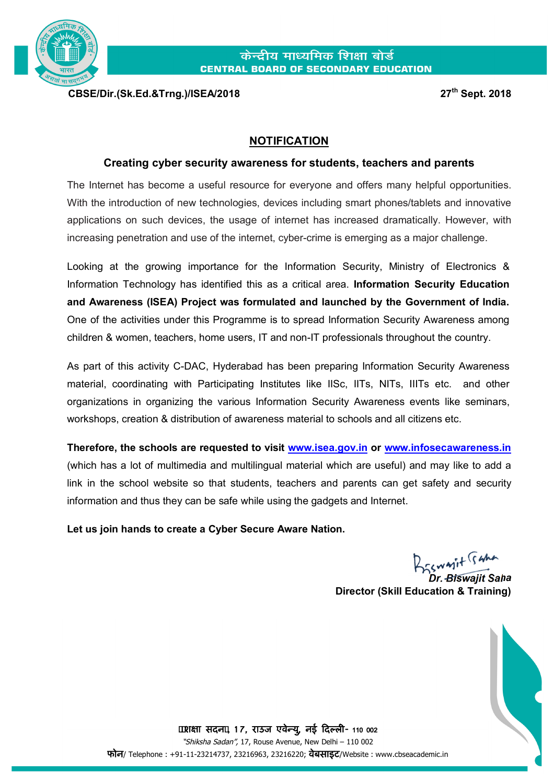

**CBSE/Dir.(Sk.Ed.&Trng.)/ISEA/2018 27**

**th Sept. 2018**

## **NOTIFICATION**

## **Creating cyber security awareness for students, teachers and parents**

The Internet has become a useful resource for everyone and offers many helpful opportunities. With the introduction of new technologies, devices including smart phones/tablets and innovative applications on such devices, the usage of internet has increased dramatically. However, with increasing penetration and use of the internet, cyber-crime is emerging as a major challenge.

Looking at the growing importance for the Information Security, Ministry of Electronics & Information Technology has identified this as a critical area. **Information Security Education and Awareness (ISEA) Project was formulated and launched by the Government of India.**  One of the activities under this Programme is to spread Information Security Awareness among children & women, teachers, home users, IT and non-IT professionals throughout the country.

As part of this activity C-DAC, Hyderabad has been preparing Information Security Awareness material, coordinating with Participating Institutes like IISc, IITs, NITs, IIITs etc. and other organizations in organizing the various Information Security Awareness events like seminars, workshops, creation & distribution of awareness material to schools and all citizens etc.

**Therefore, the schools are requested to visit [www.isea.gov.in](http://www.isea.gov.in,/) or [www.infosecawareness.in](http://www.infosecawareness.in/)** (which has a lot of multimedia and multilingual material which are useful) and may like to add a link in the school website so that students, teachers and parents can get safety and security information and thus they can be safe while using the gadgets and Internet.

**Let us join hands to create a Cyber Secure Aware Nation.**

BESWAIT SAM

*Dr. Biswajit Saha* **Director (Skill Education & Training)**